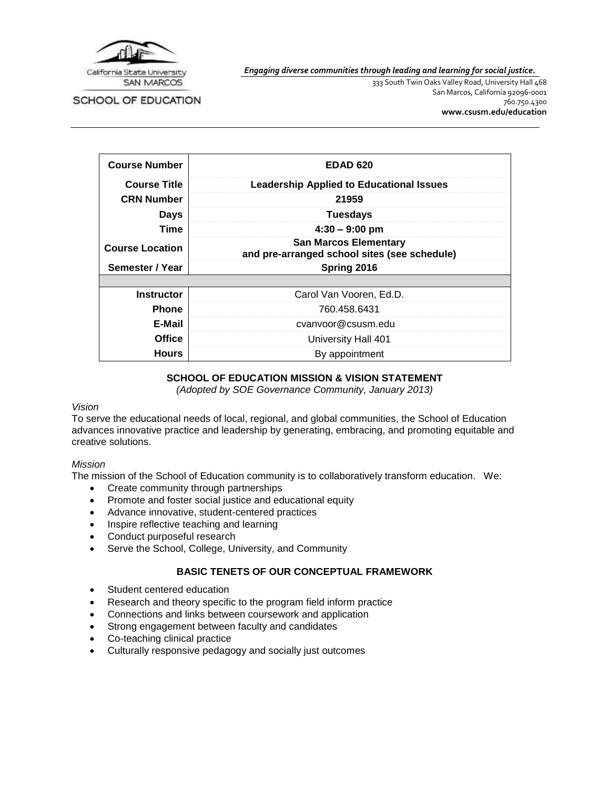

*Engaging diverse communities through leading and learning for social justice.*

SCHOOL OF EDUCATION

333 South Twin Oaks Valley Road, University Hall 468 San Marcos, California 92096-0001 760.750.4300 **[www.csusm.edu/education](http://www.csusm.edu/education)**

| <b>Course Number</b>   | <b>EDAD 620</b>                                                              |
|------------------------|------------------------------------------------------------------------------|
| <b>Course Title</b>    | <b>Leadership Applied to Educational Issues</b>                              |
| <b>CRN Number</b>      | 21959                                                                        |
| Days                   | <b>Tuesdays</b>                                                              |
| Time                   | $4:30 - 9:00$ pm                                                             |
| <b>Course Location</b> | <b>San Marcos Elementary</b><br>and pre-arranged school sites (see schedule) |
| Semester / Year        | Spring 2016                                                                  |
|                        |                                                                              |
| <b>Instructor</b>      | Carol Van Vooren, Ed.D.                                                      |
| <b>Phone</b>           | 760.458.6431                                                                 |
| E-Mail                 | cvanvoor@csusm.edu                                                           |
| Office                 | University Hall 401                                                          |
| <b>Hours</b>           | By appointment                                                               |

# **SCHOOL OF EDUCATION MISSION & VISION STATEMENT**

*(Adopted by SOE Governance Community, January 2013)*

#### *Vision*

To serve the educational needs of local, regional, and global communities, the School of Education advances innovative practice and leadership by generating, embracing, and promoting equitable and creative solutions.

#### *Mission*

The mission of the School of Education community is to collaboratively transform education. We:

- Create community through partnerships
- Promote and foster social justice and educational equity
- Advance innovative, student-centered practices
- Inspire reflective teaching and learning
- Conduct purposeful research
- Serve the School, College, University, and Community

# **BASIC TENETS OF OUR CONCEPTUAL FRAMEWORK**

- Student centered education
- Research and theory specific to the program field inform practice
- Connections and links between coursework and application
- Strong engagement between faculty and candidates
- Co-teaching clinical practice
- Culturally responsive pedagogy and socially just outcomes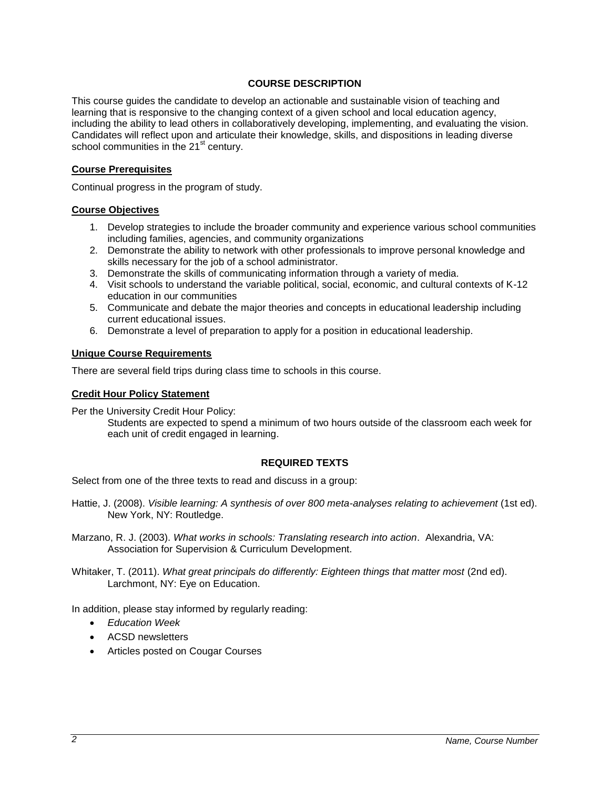# **COURSE DESCRIPTION**

This course guides the candidate to develop an actionable and sustainable vision of teaching and learning that is responsive to the changing context of a given school and local education agency, including the ability to lead others in collaboratively developing, implementing, and evaluating the vision. Candidates will reflect upon and articulate their knowledge, skills, and dispositions in leading diverse school communities in the 21<sup>st</sup> century.

#### **Course Prerequisites**

Continual progress in the program of study.

#### **Course Objectives**

- 1. Develop strategies to include the broader community and experience various school communities including families, agencies, and community organizations
- 2. Demonstrate the ability to network with other professionals to improve personal knowledge and skills necessary for the job of a school administrator.
- 3. Demonstrate the skills of communicating information through a variety of media.
- 4. Visit schools to understand the variable political, social, economic, and cultural contexts of K-12 education in our communities
- 5. Communicate and debate the major theories and concepts in educational leadership including current educational issues.
- 6. Demonstrate a level of preparation to apply for a position in educational leadership.

#### **Unique Course Requirements**

There are several field trips during class time to schools in this course.

#### **Credit Hour Policy Statement**

Per the University Credit Hour Policy:

Students are expected to spend a minimum of two hours outside of the classroom each week for each unit of credit engaged in learning.

### **REQUIRED TEXTS**

Select from one of the three texts to read and discuss in a group:

- Hattie, J. (2008). *Visible learning: A synthesis of over 800 meta-analyses relating to achievement* (1st ed). New York, NY: Routledge.
- Marzano, R. J. (2003). *What works in schools: Translating research into action*. Alexandria, VA: Association for Supervision & Curriculum Development.

Whitaker, T. (2011). *What great principals do differently: Eighteen things that matter most* (2nd ed). Larchmont, NY: Eye on Education.

In addition, please stay informed by regularly reading:

- *Education Week*
- ACSD newsletters
- Articles posted on Cougar Courses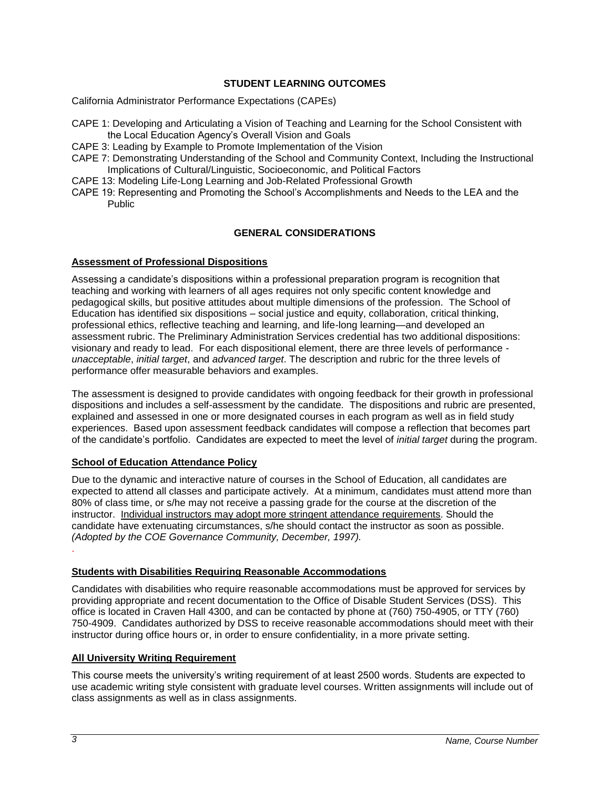# **STUDENT LEARNING OUTCOMES**

California Administrator Performance Expectations (CAPEs)

- CAPE 1: Developing and Articulating a Vision of Teaching and Learning for the School Consistent with the Local Education Agency's Overall Vision and Goals
- CAPE 3: Leading by Example to Promote Implementation of the Vision
- CAPE 7: Demonstrating Understanding of the School and Community Context, Including the Instructional Implications of Cultural/Linguistic, Socioeconomic, and Political Factors
- CAPE 13: Modeling Life-Long Learning and Job-Related Professional Growth
- CAPE 19: Representing and Promoting the School's Accomplishments and Needs to the LEA and the Public

# **GENERAL CONSIDERATIONS**

#### **Assessment of Professional Dispositions**

Assessing a candidate's dispositions within a professional preparation program is recognition that teaching and working with learners of all ages requires not only specific content knowledge and pedagogical skills, but positive attitudes about multiple dimensions of the profession. The School of Education has identified six dispositions – social justice and equity, collaboration, critical thinking, professional ethics, reflective teaching and learning, and life-long learning—and developed an assessment rubric. The Preliminary Administration Services credential has two additional dispositions: visionary and ready to lead. For each dispositional element, there are three levels of performance *unacceptable*, *initial target*, and *advanced target*. The description and rubric for the three levels of performance offer measurable behaviors and examples.

The assessment is designed to provide candidates with ongoing feedback for their growth in professional dispositions and includes a self-assessment by the candidate. The dispositions and rubric are presented, explained and assessed in one or more designated courses in each program as well as in field study experiences. Based upon assessment feedback candidates will compose a reflection that becomes part of the candidate's portfolio. Candidates are expected to meet the level of *initial target* during the program.

### **School of Education Attendance Policy**

Due to the dynamic and interactive nature of courses in the School of Education, all candidates are expected to attend all classes and participate actively. At a minimum, candidates must attend more than 80% of class time, or s/he may not receive a passing grade for the course at the discretion of the instructor. Individual instructors may adopt more stringent attendance requirements. Should the candidate have extenuating circumstances, s/he should contact the instructor as soon as possible. *(Adopted by the COE Governance Community, December, 1997).* .

#### **Students with Disabilities Requiring Reasonable Accommodations**

Candidates with disabilities who require reasonable accommodations must be approved for services by providing appropriate and recent documentation to the Office of Disable Student Services (DSS). This office is located in Craven Hall 4300, and can be contacted by phone at (760) 750-4905, or TTY (760) 750-4909. Candidates authorized by DSS to receive reasonable accommodations should meet with their instructor during office hours or, in order to ensure confidentiality, in a more private setting.

### **All University Writing Requirement**

This course meets the university's writing requirement of at least 2500 words. Students are expected to use academic writing style consistent with graduate level courses. Written assignments will include out of class assignments as well as in class assignments.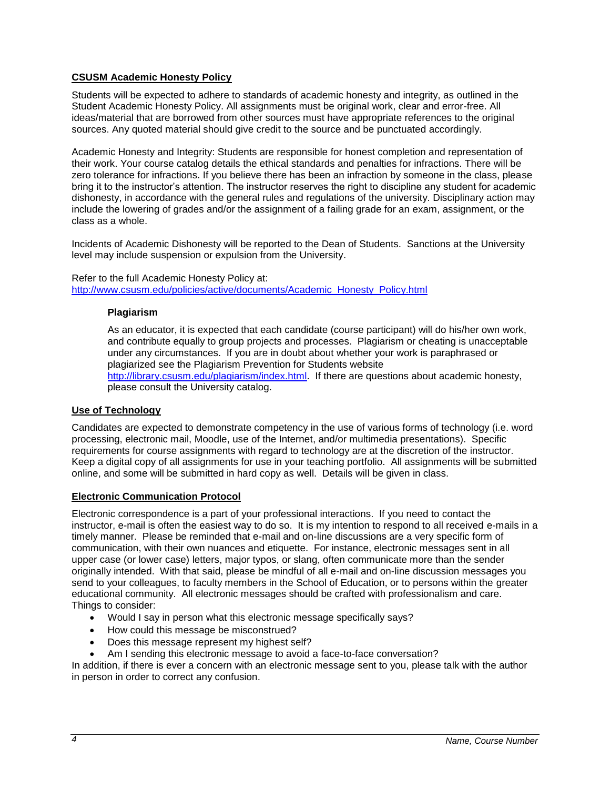# **CSUSM Academic Honesty Policy**

Students will be expected to adhere to standards of academic honesty and integrity, as outlined in the Student Academic Honesty Policy. All assignments must be original work, clear and error-free. All ideas/material that are borrowed from other sources must have appropriate references to the original sources. Any quoted material should give credit to the source and be punctuated accordingly.

Academic Honesty and Integrity: Students are responsible for honest completion and representation of their work. Your course catalog details the ethical standards and penalties for infractions. There will be zero tolerance for infractions. If you believe there has been an infraction by someone in the class, please bring it to the instructor's attention. The instructor reserves the right to discipline any student for academic dishonesty, in accordance with the general rules and regulations of the university. Disciplinary action may include the lowering of grades and/or the assignment of a failing grade for an exam, assignment, or the class as a whole.

Incidents of Academic Dishonesty will be reported to the Dean of Students. Sanctions at the University level may include suspension or expulsion from the University.

# Refer to the full Academic Honesty Policy at:

[http://www.csusm.edu/policies/active/documents/Academic\\_Honesty\\_Policy.html](http://www.csusm.edu/policies/active/documents/Academic_Honesty_Policy.html)

#### **Plagiarism**

As an educator, it is expected that each candidate (course participant) will do his/her own work, and contribute equally to group projects and processes. Plagiarism or cheating is unacceptable under any circumstances. If you are in doubt about whether your work is paraphrased or plagiarized see the Plagiarism Prevention for Students website [http://library.csusm.edu/plagiarism/index.html.](http://library.csusm.edu/plagiarism/index.html) If there are questions about academic honesty, please consult the University catalog.

### **Use of Technology**

Candidates are expected to demonstrate competency in the use of various forms of technology (i.e. word processing, electronic mail, Moodle, use of the Internet, and/or multimedia presentations). Specific requirements for course assignments with regard to technology are at the discretion of the instructor. Keep a digital copy of all assignments for use in your teaching portfolio. All assignments will be submitted online, and some will be submitted in hard copy as well. Details will be given in class.

### **Electronic Communication Protocol**

Electronic correspondence is a part of your professional interactions. If you need to contact the instructor, e-mail is often the easiest way to do so. It is my intention to respond to all received e-mails in a timely manner. Please be reminded that e-mail and on-line discussions are a very specific form of communication, with their own nuances and etiquette. For instance, electronic messages sent in all upper case (or lower case) letters, major typos, or slang, often communicate more than the sender originally intended. With that said, please be mindful of all e-mail and on-line discussion messages you send to your colleagues, to faculty members in the School of Education, or to persons within the greater educational community. All electronic messages should be crafted with professionalism and care. Things to consider:

- Would I say in person what this electronic message specifically says?
- How could this message be misconstrued?
- Does this message represent my highest self?
- Am I sending this electronic message to avoid a face-to-face conversation?

In addition, if there is ever a concern with an electronic message sent to you, please talk with the author in person in order to correct any confusion.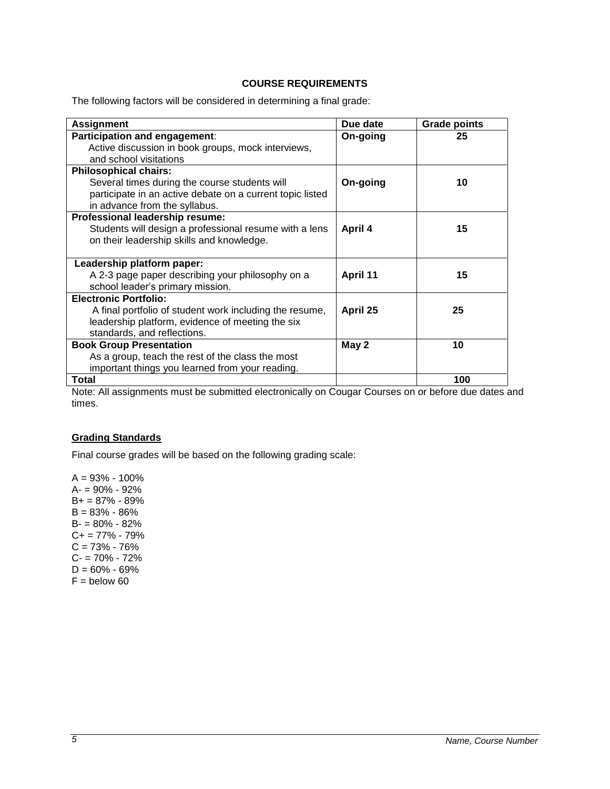#### **COURSE REQUIREMENTS**

The following factors will be considered in determining a final grade:

| <b>Assignment</b>                                         | Due date | <b>Grade points</b> |
|-----------------------------------------------------------|----------|---------------------|
| Participation and engagement:                             | On-going | 25                  |
| Active discussion in book groups, mock interviews,        |          |                     |
| and school visitations                                    |          |                     |
| <b>Philosophical chairs:</b>                              |          |                     |
| Several times during the course students will             | On-going | 10                  |
| participate in an active debate on a current topic listed |          |                     |
| in advance from the syllabus.                             |          |                     |
| Professional leadership resume:                           |          |                     |
| Students will design a professional resume with a lens    | April 4  | 15                  |
| on their leadership skills and knowledge.                 |          |                     |
|                                                           |          |                     |
| Leadership platform paper:                                |          |                     |
| A 2-3 page paper describing your philosophy on a          | April 11 | 15                  |
| school leader's primary mission.                          |          |                     |
| <b>Electronic Portfolio:</b>                              |          |                     |
| A final portfolio of student work including the resume,   | April 25 | 25                  |
| leadership platform, evidence of meeting the six          |          |                     |
| standards, and reflections.                               |          |                     |
| <b>Book Group Presentation</b>                            | May 2    | 10                  |
| As a group, teach the rest of the class the most          |          |                     |
| important things you learned from your reading.           |          |                     |
| Total                                                     |          | 100                 |

Note: All assignments must be submitted electronically on Cougar Courses on or before due dates and times.

#### **Grading Standards**

Final course grades will be based on the following grading scale:

 $A = 93\% - 100\%$ A- = 90% - 92% B+ = 87% - 89%  $B = 83\% - 86\%$ B- = 80% - 82% C+ = 77% - 79%  $C = 73% - 76%$ C- = 70% - 72%  $D = 60\% - 69\%$  $F =$  below 60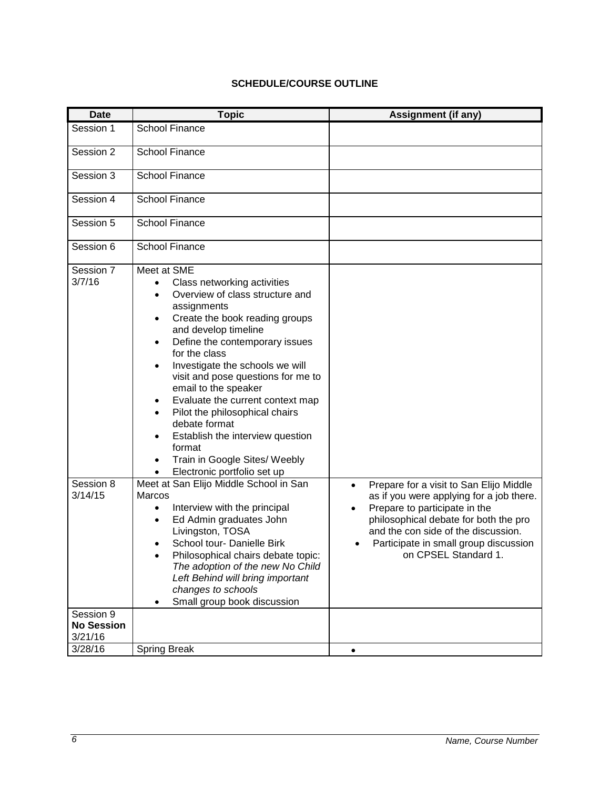# **SCHEDULE/COURSE OUTLINE**

| Date                 | <b>Topic</b>                                                                                                                                                                                                                                                                                                                                                                                                                                                                                                                                     | Assignment (if any)                                                                                                                                                                                                                                                                |
|----------------------|--------------------------------------------------------------------------------------------------------------------------------------------------------------------------------------------------------------------------------------------------------------------------------------------------------------------------------------------------------------------------------------------------------------------------------------------------------------------------------------------------------------------------------------------------|------------------------------------------------------------------------------------------------------------------------------------------------------------------------------------------------------------------------------------------------------------------------------------|
| Session 1            | <b>School Finance</b>                                                                                                                                                                                                                                                                                                                                                                                                                                                                                                                            |                                                                                                                                                                                                                                                                                    |
| Session 2            | <b>School Finance</b>                                                                                                                                                                                                                                                                                                                                                                                                                                                                                                                            |                                                                                                                                                                                                                                                                                    |
| Session 3            | School Finance                                                                                                                                                                                                                                                                                                                                                                                                                                                                                                                                   |                                                                                                                                                                                                                                                                                    |
| Session 4            | <b>School Finance</b>                                                                                                                                                                                                                                                                                                                                                                                                                                                                                                                            |                                                                                                                                                                                                                                                                                    |
| Session 5            | <b>School Finance</b>                                                                                                                                                                                                                                                                                                                                                                                                                                                                                                                            |                                                                                                                                                                                                                                                                                    |
| Session 6            | School Finance                                                                                                                                                                                                                                                                                                                                                                                                                                                                                                                                   |                                                                                                                                                                                                                                                                                    |
| Session 7<br>3/7/16  | Meet at SME<br>Class networking activities<br>٠<br>Overview of class structure and<br>٠<br>assignments<br>Create the book reading groups<br>٠<br>and develop timeline<br>Define the contemporary issues<br>٠<br>for the class<br>Investigate the schools we will<br>$\bullet$<br>visit and pose questions for me to<br>email to the speaker<br>Evaluate the current context map<br>Pilot the philosophical chairs<br>debate format<br>Establish the interview question<br>format<br>Train in Google Sites/ Weebly<br>Electronic portfolio set up |                                                                                                                                                                                                                                                                                    |
| Session 8<br>3/14/15 | Meet at San Elijo Middle School in San<br><b>Marcos</b><br>Interview with the principal<br>$\bullet$<br>Ed Admin graduates John<br>Livingston, TOSA<br>School tour- Danielle Birk<br>Philosophical chairs debate topic:<br>The adoption of the new No Child<br>Left Behind will bring important<br>changes to schools<br>Small group book discussion                                                                                                                                                                                             | Prepare for a visit to San Elijo Middle<br>$\bullet$<br>as if you were applying for a job there.<br>Prepare to participate in the<br>philosophical debate for both the pro<br>and the con side of the discussion.<br>Participate in small group discussion<br>on CPSEL Standard 1. |
| Session 9            |                                                                                                                                                                                                                                                                                                                                                                                                                                                                                                                                                  |                                                                                                                                                                                                                                                                                    |
| <b>No Session</b>    |                                                                                                                                                                                                                                                                                                                                                                                                                                                                                                                                                  |                                                                                                                                                                                                                                                                                    |
| 3/21/16              |                                                                                                                                                                                                                                                                                                                                                                                                                                                                                                                                                  |                                                                                                                                                                                                                                                                                    |
| 3/28/16              | <b>Spring Break</b>                                                                                                                                                                                                                                                                                                                                                                                                                                                                                                                              | ٠                                                                                                                                                                                                                                                                                  |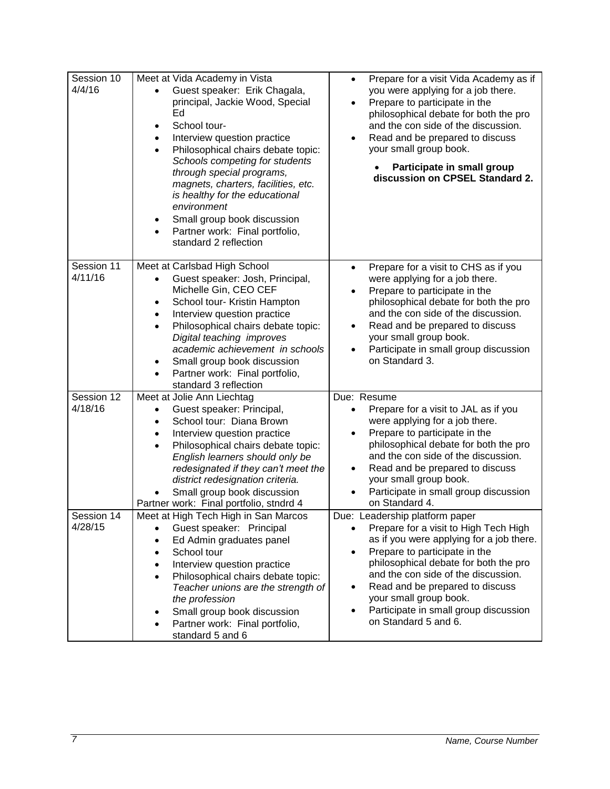| Session 10<br>4/4/16  | Meet at Vida Academy in Vista<br>Guest speaker: Erik Chagala,<br>principal, Jackie Wood, Special<br>Ed<br>School tour-<br>$\bullet$<br>Interview question practice<br>$\bullet$<br>Philosophical chairs debate topic:<br>$\bullet$<br>Schools competing for students<br>through special programs,<br>magnets, charters, facilities, etc.<br>is healthy for the educational<br>environment<br>Small group book discussion<br>٠<br>Partner work: Final portfolio,<br>standard 2 reflection | Prepare for a visit Vida Academy as if<br>$\bullet$<br>you were applying for a job there.<br>Prepare to participate in the<br>$\bullet$<br>philosophical debate for both the pro<br>and the con side of the discussion.<br>Read and be prepared to discuss<br>$\bullet$<br>your small group book.<br>Participate in small group<br>discussion on CPSEL Standard 2.                                                     |
|-----------------------|------------------------------------------------------------------------------------------------------------------------------------------------------------------------------------------------------------------------------------------------------------------------------------------------------------------------------------------------------------------------------------------------------------------------------------------------------------------------------------------|------------------------------------------------------------------------------------------------------------------------------------------------------------------------------------------------------------------------------------------------------------------------------------------------------------------------------------------------------------------------------------------------------------------------|
| Session 11<br>4/11/16 | Meet at Carlsbad High School<br>Guest speaker: Josh, Principal,<br>Michelle Gin, CEO CEF<br>School tour- Kristin Hampton<br>٠<br>Interview question practice<br>$\bullet$<br>Philosophical chairs debate topic:<br>$\bullet$<br>Digital teaching improves<br>academic achievement in schools<br>Small group book discussion<br>Partner work: Final portfolio,<br>standard 3 reflection                                                                                                   | Prepare for a visit to CHS as if you<br>$\bullet$<br>were applying for a job there.<br>Prepare to participate in the<br>philosophical debate for both the pro<br>and the con side of the discussion.<br>Read and be prepared to discuss<br>$\bullet$<br>your small group book.<br>Participate in small group discussion<br>on Standard 3.                                                                              |
| Session 12<br>4/18/16 | Meet at Jolie Ann Liechtag<br>Guest speaker: Principal,<br>School tour: Diana Brown<br>$\bullet$<br>Interview question practice<br>$\bullet$<br>Philosophical chairs debate topic:<br>English learners should only be<br>redesignated if they can't meet the<br>district redesignation criteria.<br>Small group book discussion<br>Partner work: Final portfolio, stndrd 4                                                                                                               | Due: Resume<br>Prepare for a visit to JAL as if you<br>were applying for a job there.<br>Prepare to participate in the<br>philosophical debate for both the pro<br>and the con side of the discussion.<br>Read and be prepared to discuss<br>$\bullet$<br>your small group book.<br>Participate in small group discussion<br>on Standard 4.                                                                            |
| Session 14<br>4/28/15 | Meet at High Tech High in San Marcos<br>Guest speaker: Principal<br>$\bullet$<br>Ed Admin graduates panel<br>$\bullet$<br>School tour<br>$\bullet$<br>Interview question practice<br>$\bullet$<br>Philosophical chairs debate topic:<br>$\bullet$<br>Teacher unions are the strength of<br>the profession<br>Small group book discussion<br>Partner work: Final portfolio,<br>standard 5 and 6                                                                                           | Due: Leadership platform paper<br>Prepare for a visit to High Tech High<br>$\bullet$<br>as if you were applying for a job there.<br>Prepare to participate in the<br>$\bullet$<br>philosophical debate for both the pro<br>and the con side of the discussion.<br>Read and be prepared to discuss<br>$\bullet$<br>your small group book.<br>Participate in small group discussion<br>$\bullet$<br>on Standard 5 and 6. |